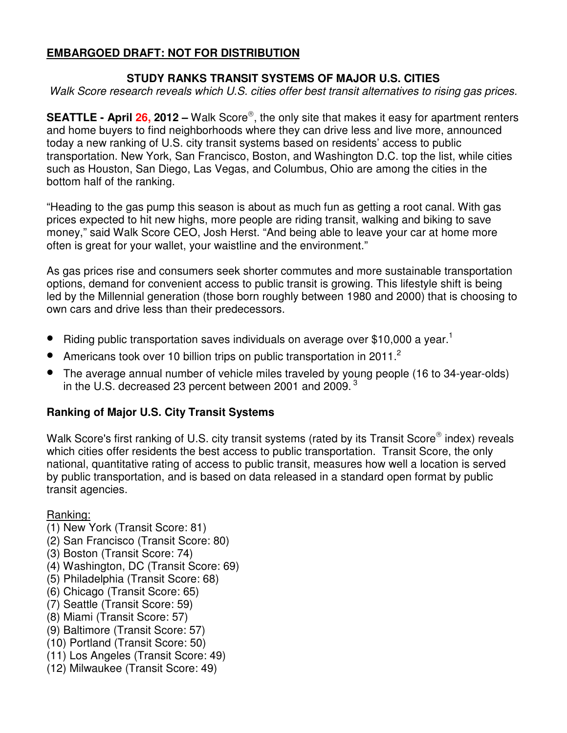# **EMBARGOED DRAFT: NOT FOR DISTRIBUTION**

## **STUDY RANKS TRANSIT SYSTEMS OF MAJOR U.S. CITIES**

Walk Score research reveals which U.S. cities offer best transit alternatives to rising gas prices.

**SEATTLE - April 26, 2012 –** Walk Score®, the only site that makes it easy for apartment renters and home buyers to find neighborhoods where they can drive less and live more, announced today a new ranking of U.S. city transit systems based on residents' access to public transportation. New York, San Francisco, Boston, and Washington D.C. top the list, while cities such as Houston, San Diego, Las Vegas, and Columbus, Ohio are among the cities in the bottom half of the ranking.

"Heading to the gas pump this season is about as much fun as getting a root canal. With gas prices expected to hit new highs, more people are riding transit, walking and biking to save money," said Walk Score CEO, Josh Herst. "And being able to leave your car at home more often is great for your wallet, your waistline and the environment."

As gas prices rise and consumers seek shorter commutes and more sustainable transportation options, demand for convenient access to public transit is growing. This lifestyle shift is being led by the Millennial generation (those born roughly between 1980 and 2000) that is choosing to own cars and drive less than their predecessors.

- Riding public transportation saves individuals on average over \$10,000 a year.<sup>1</sup>
- Americans took over 10 billion trips on public transportation in 2011.<sup>2</sup>
- The average annual number of vehicle miles traveled by young people (16 to 34-year-olds) in the U.S. decreased 23 percent between 2001 and 2009. $3$

### **Ranking of Major U.S. City Transit Systems**

Walk Score's first ranking of U.S. city transit systems (rated by its Transit Score® index) reveals which cities offer residents the best access to public transportation. Transit Score, the only national, quantitative rating of access to public transit, measures how well a location is served by public transportation, and is based on data released in a standard open format by public transit agencies.

### Ranking:

- (1) New York (Transit Score: 81)
- (2) San Francisco (Transit Score: 80)
- (3) Boston (Transit Score: 74)
- (4) Washington, DC (Transit Score: 69)
- (5) Philadelphia (Transit Score: 68)
- (6) Chicago (Transit Score: 65)
- (7) Seattle (Transit Score: 59)
- (8) Miami (Transit Score: 57)
- (9) Baltimore (Transit Score: 57)
- (10) Portland (Transit Score: 50)
- (11) Los Angeles (Transit Score: 49)
- (12) Milwaukee (Transit Score: 49)